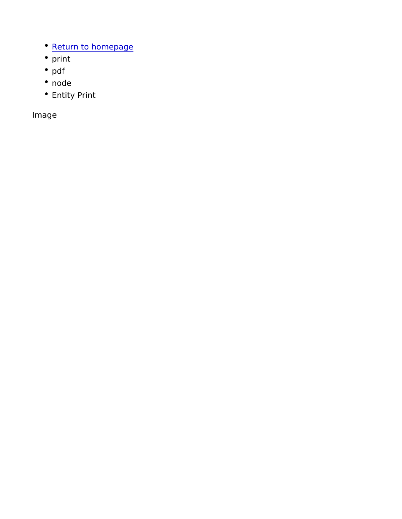- [Return to home](https://www.ggbearings.com/en)page
- print
- pdf
- node
- Entity Print

Image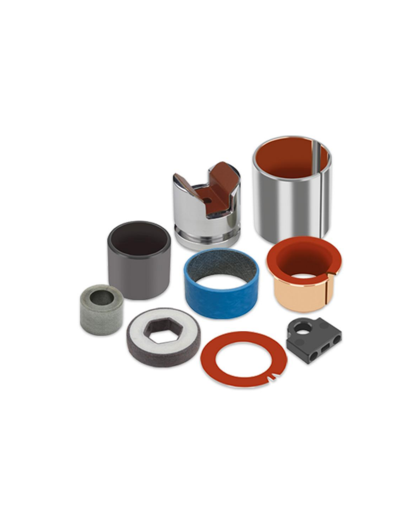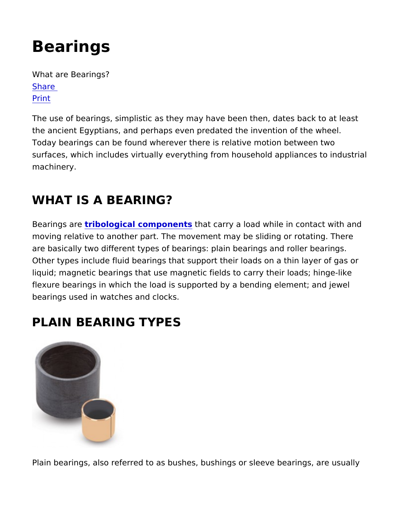# Bearings

What are Bearings? **[Shar](https://www.addtoany.com/share#url=https://www.ggbearings.com/en/tribou/internet-bearings/bearings&title=Bearings)e** [Pri](https://www.ggbearings.com/en/print/pdf/node/7201)nt

The use of bearings, simplistic as they may have been then, date the ancient Egyptians, and perhaps even predated the invention o Today bearings can be found wherever there is relative motion be surfaces, which includes virtually everything from household appl machinery.

#### WHAT IS A BEARING?

Bearings arribological componeth as carry a load while in contact wi moving relative to another part. The movement may be sliding or are basically two different types of bearings: plain bearings and Other types include fluid bearings that support their loads on a the liquid; magnetic bearings that use magnetic fields to carry their I flexure bearings in which the load is supported by a bending elem bearings used in watches and clocks.

## PLAIN BEARING TYPES

Plain bearings, also referred to as bushes, bushings or sleeve be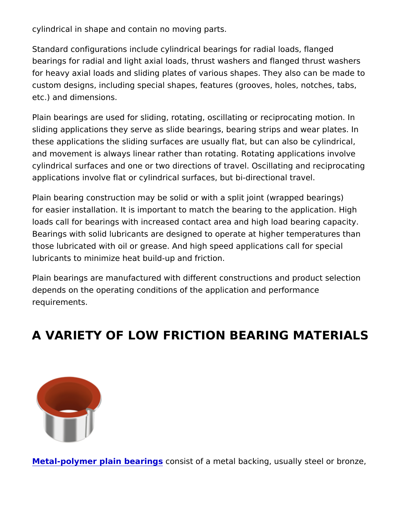cylindrical in shape and contain no moving parts.

Standard configurations include cylindrical bearings for radial loa bearings for radial and light axial loads, thrust washers and flang for heavy axial loads and sliding plates of various shapes. They a custom designs, including special shapes, features (grooves, hole etc.) and dimensions.

Plain bearings are used for sliding, rotating, oscillating or recipr sliding applications they serve as slide bearings, bearing strips a these applications the sliding surfaces are usually flat, but can a and movement is always linear rather than rotating. Rotating appl cylindrical surfaces and one or two directions of travel. Oscillating applications involve flat or cylindrical surfaces, but bi-directiona

Plain bearing construction may be solid or with a split joint (wrap for easier installation. It is important to match the bearing to the loads call for bearings with increased contact area and high load Bearings with solid lubricants are designed to operate at higher t those lubricated with oil or grease. And high speed applications o lubricants to minimize heat build-up and friction.

Plain bearings are manufactured with different constructions and depends on the operating conditions of the application and perfor requirements.

A VARIETY OF LOW FRICTION BEARING MA

[Metal-polymer plain bea](https://www.ggbearings.com/our-products/metal-polymer-bearings)riongs ist of a metal backing, usually steel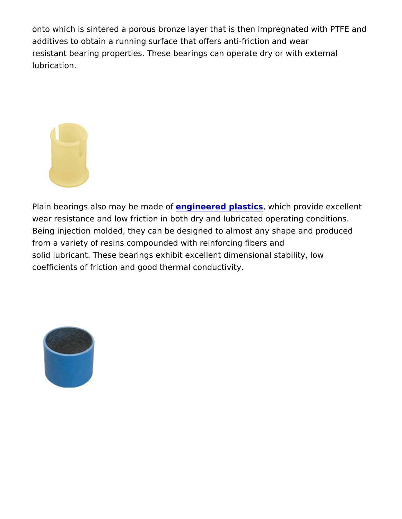onto which is sintered a porous bronze layer that is then impregn additives to obtain a running surface that offers anti-friction and resistant bearing properties. These bearings can operate dry or w lubrication.

Plain bearings also may beengiandeee roefd plastiws bich provide excellen wear resistance and low friction in both dry and lubricated operat Being injection molded, they can be designed to almost any shape from a variety of resins compounded with reinforcing fibers and solid lubricant. These bearings exhibit excellent dimensional stab coefficients of friction and good thermal conductivity.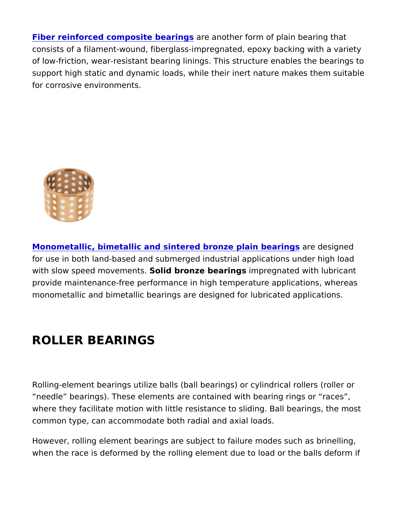[Fiber reinforced composite b](https://www.ggbearings.com/our-products/fiber-reinforced-composite)earen as ather form of plain bearing that consists of a filament-wound, fiberglass-impregnated, epoxy back of low-friction, wear-resistant bearing linings. This structure ena support high static and dynamic loads, while their inert nature ma for corrosive environments.

[Monometallic, bimetallic and sintered bronze pl](https://www.ggbearings.com/our-products/metals-and-bimetals)aamebeasiing med for use in both land-based and submerged industrial applications with slow speed moveSmote indtsbronze bearings regnated with lubricant provide maintenance-free performance in high temperature applic. monometallic and bimetallic bearings are designed for lubricated

### ROLLER BEARINGS

Rolling-element bearings utilize balls (ball bearings) or cylindrica needle bearings). These elements are contained with bearing rin where they facilitate motion with little resistance to sliding. Ball common type, can accommodate both radial and axial loads.

However, rolling element bearings are subject to failure modes su when the race is deformed by the rolling element due to load or t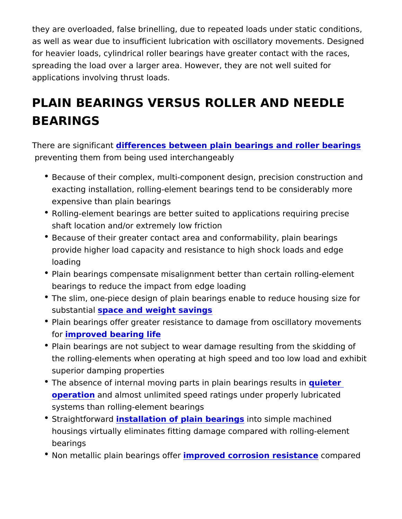they are overloaded, false brinelling, due to repeated loads unde as well as wear due to insufficient lubrication with oscillatory mo for heavier loads, cylindrical roller bearings have greater contact spreading the load over a larger area. However, they are not well applications involving thrust loads.

# PLAIN BEARINGS VERSUS ROLLER AND NEI BEARINGS

There are signidictentences between plain bearings and roller bear preventing them from being used interchangeably

- Because of their complex, multi-component design, precision o exacting installation, rolling-element bearings tend to be cons expensive than plain bearings
- Rolling-element bearings are better suited to applications req shaft location and/or extremely low friction
- Because of their greater contact area and conformability, plai provide higher load capacity and resistance to high shock load loading
- Plain bearings compensate misalignment better than certain ro bearings to reduce the impact from edge loading
- The slim, one-piece design of plain bearings enable to reduce substantsplace and weight savings
- Plain bearings offer greater resistance to damage from oscilla fo[r improved bearing](https://www.ggbearings.com/ggb-advantage/increasing-service-life) life
- Plain bearings are not subject to wear damage resulting from the rolling-elements when operating at high speed and too low superior damping properties
- The absence of internal moving parts in plain due attengs results [operatio](https://www.ggbearings.com/ggb-advantage/reducing-noise)m and almost unlimited speed ratings under properly lub systems than rolling-element bearings
- Straightforwasd allation of plain beamings imple machined housings virtually eliminates fitting damage compared with rol bearings
- Non metallic plain bearimmops coviéed rcorrosion resistezon repeared